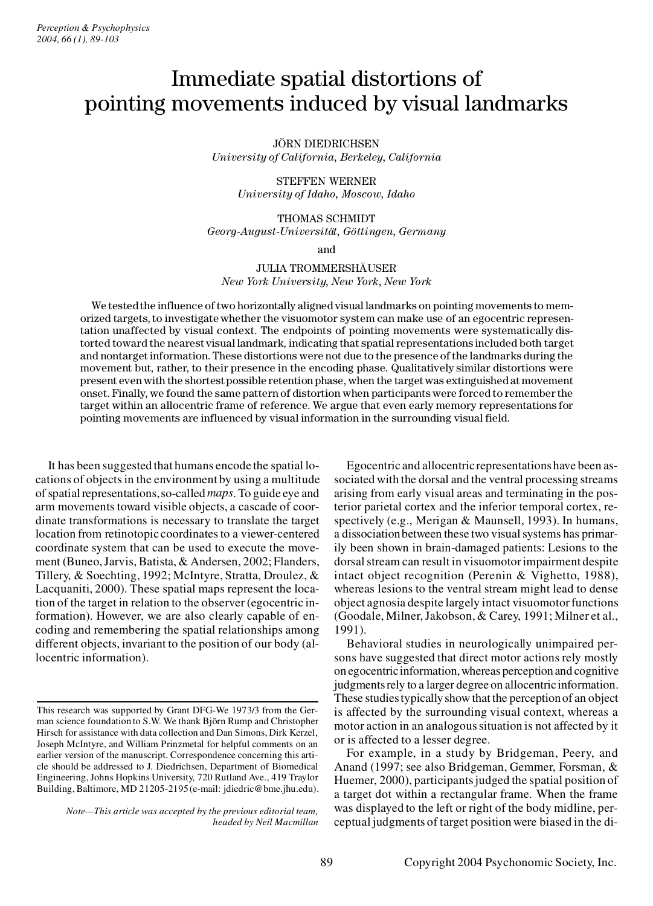# Immediate spatial distortions of pointing movements induced by visual landmarks

JÖRN DIEDRICHSEN *University of California, Berkeley, California*

# STEFFEN WERNER *University of Idaho, Moscow, Idaho*

THOMAS SCHMIDT *Georg-August-Universität, Göttingen, Germany*

and

# JULIA TROMMERSHÄUSER *New York University, New York, New York*

We tested the influence of two horizontally aligned visual landmarks on pointing movements to mem orized targets, to investigate whether the visuomotor system can make use of an egocentric representation unaffected by visual context. The endpoints of pointing movements were systematically distorted toward the nearest visual landmark, indicating that spatial representations included both target and nontarget information. These distortions were not due to the presence of the landmarks during the movement but, rather, to their presence in the encoding phase. Qualitatively similar distortions were present even with the shortest possible retention phase, when the target was extinguished at movement onset. Finally, we found the same pattern of distortion when participants were forced to remember the target within an allocentric frame of reference. We argue that even early memory representations for pointing movements are influenced by visual information in the surrounding visual field.

It has been suggested that humans encode the spatial locations of objects in the environment by using a multitude of spatial representations, so-called *maps*. To guide eye and arm movements toward visible objects, a cascade of coordinate transformations is necessary to translate the target location from retinotopic coordinates to a viewer-centered coordinate system that can be used to execute the movement (Buneo, Jarvis, Batista, & Andersen, 2002; Flanders, Tillery, & Soechting, 1992; McIntyre, Stratta, Droulez, & Lacquaniti, 2000). These spatial maps represent the location of the target in relation to the observer (egocentric information). However, we are also clearly capable of encoding and remembering the spatial relationships among different objects, invariant to the position of our body (allocentric information).

Egocentric and allocentric representations have been associated with the dorsal and the ventral processing streams arising from early visual areas and terminating in the posterior parietal cortex and the inferior temporal cortex, respectively (e.g., Merigan & Maunsell, 1993). In humans, a dissociation between these two visual systems has primarily been shown in brain-damaged patients: Lesions to the dorsal stream can result in visuomotor impairment despite intact object recognition (Perenin & Vighetto, 1988), whereas lesions to the ventral stream might lead to dense object agnosia despite largely intact visuomotor functions (Goodale, Milner, Jakobson, & Carey, 1991; Milner et al., 1991).

Behavioral studies in neurologically unimpaired persons have suggested that direct motor actions rely mostly on egocentric information, whereas perception and cognitive judgments rely to a larger degree on allocentric information. These studies typically show that the perception of an object is affected by the surrounding visual context, whereas a motor action in an analogous situation is not affected by it or is affected to a lesser degree.

For example, in a study by Bridgeman, Peery, and Anand (1997; see also Bridgeman, Gemmer, Forsman, & Huemer, 2000), participants judged the spatial position of a target dot within a rectangular frame. When the frame was displayed to the left or right of the body midline, perceptual judgments of target position were biased in the di-

This research was supported by Grant DFG-We 1973/3 from the Ger man science foundation to S.W. We thank Björn Rump and Christopher Hirsch for assistance with data collection and Dan Simons, Dirk Kerzel, Joseph McIntyre, and William Prinzmetal for helpful comments on an earlier version of the manuscript. Correspondence concerning this article should be addressed to J. Diedrichsen, Department of Biomedical Engineering, Johns Hopkins University, 720 Rutland Ave., 419 Traylor Building, Baltimore, MD 21205-2195 (e-mail: jdiedric@bme.jhu.edu).

*Note—This article was accepted by the previous editorial team, headed by Neil Macmillan*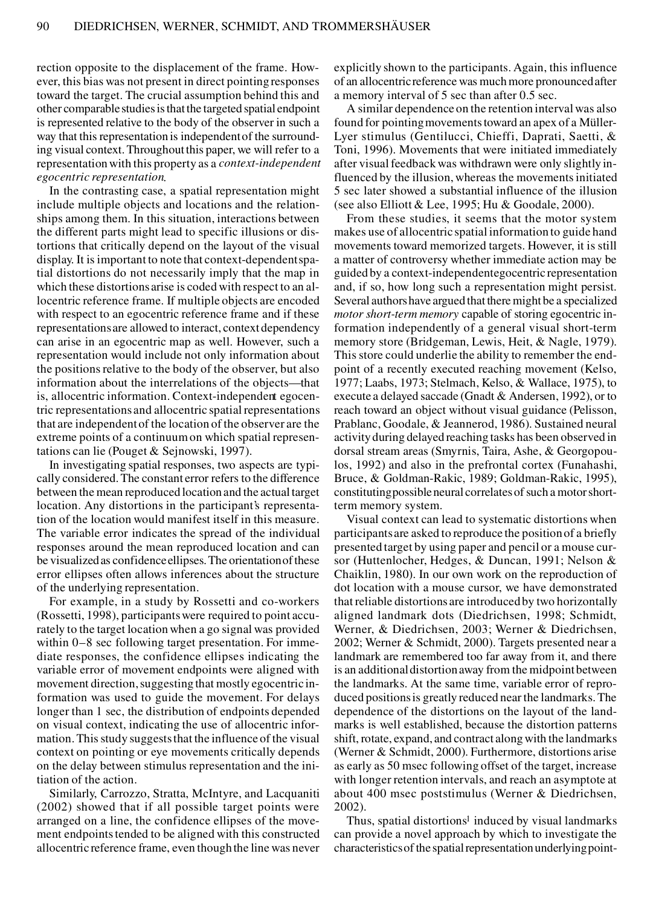rection opposite to the displacement of the frame. However, this bias was not present in direct pointing responses toward the target. The crucial assumption behind this and other comparable studies is that the targeted spatial endpoint is represented relative to the body of the observer in such a way that this representation is independent of the surrounding visual context. Throughout this paper, we will refer to a representation with this property as a *context-independent egocentric representation*.

In the contrasting case, a spatial representation might include multiple objects and locations and the relationships among them. In this situation, interactions between the different parts might lead to specific illusions or distortions that critically depend on the layout of the visual display. It is important to note that context-dependent spatial distortions do not necessarily imply that the map in which these distortions arise is coded with respect to an allocentric reference frame. If multiple objects are encoded with respect to an egocentric reference frame and if these representations are allowed to interact, context dependency can arise in an egocentric map as well. However, such a representation would include not only information about the positions relative to the body of the observer, but also information about the interrelations of the objects—that is, allocentric information. Context-independent egocentric representations and allocentric spatial representations that are independent of the location of the observer are the extreme points of a continuum on which spatial representations can lie (Pouget & Sejnowski, 1997).

In investigating spatial responses, two aspects are typically considered. The constant error refers to the difference between the mean reproduced location and the actual target location. Any distortions in the participant's representation of the location would manifest itself in this measure. The variable error indicates the spread of the individual responses around the mean reproduced location and can be visualized as confidence ellipses. The orientation of these error ellipses often allows inferences about the structure of the underlying representation.

For example, in a study by Rossetti and co-workers (Rossetti, 1998), participants were required to point accurately to the target location when a go signal was provided within 0–8 sec following target presentation. For immediate responses, the confidence ellipses indicating the variable error of movement endpoints were aligned with movement direction, suggesting that mostly egocentric information was used to guide the movement. For delays longer than 1 sec, the distribution of endpoints depended on visual context, indicating the use of allocentric information. This study suggests that the influence of the visual context on pointing or eye movements critically depends on the delay between stimulus representation and the initiation of the action.

Similarly, Carrozzo, Stratta, McIntyre, and Lacquaniti (2002) showed that if all possible target points were arranged on a line, the confidence ellipses of the movement endpoints tended to be aligned with this constructed allocentric reference frame, even though the line was never explicitly shown to the participants. Again, this influence of an allocentric reference was much more pronounced after a memory interval of 5 sec than after 0.5 sec.

A similar dependence on the retention interval was also found for pointing movements toward an apex of a Müller-Lyer stimulus (Gentilucci, Chieffi, Daprati, Saetti, & Toni, 1996). Movements that were initiated immediately after visual feedback was withdrawn were only slightly influenced by the illusion, whereas the movements initiated 5 sec later showed a substantial influence of the illusion (see also Elliott & Lee, 1995; Hu & Goodale, 2000).

From these studies, it seems that the motor system makes use of allocentric spatial information to guide hand movements toward memorized targets. However, it is still a matter of controversy whether immediate action may be guided by a context-independent egocentric representation and, if so, how long such a representation might persist. Several authors have argued that there might be a specialized *motor short-term memory* capable of storing egocentric information independently of a general visual short-term memory store (Bridgeman, Lewis, Heit, & Nagle, 1979). This store could underlie the ability to remember the endpoint of a recently executed reaching movement (Kelso, 1977; Laabs, 1973; Stelmach, Kelso, & Wallace, 1975), to execute a delayed saccade (Gnadt & Andersen, 1992), or to reach toward an object without visual guidance (Pelisson, Prablanc, Goodale, & Jeannerod, 1986). Sustained neural activity during delayed reaching tasks has been observed in dorsal stream areas (Smyrnis, Taira, Ashe, & Georgopoulos, 1992) and also in the prefrontal cortex (Funahashi, Bruce, & Goldman-Rakic, 1989; Goldman-Rakic, 1995), constituting possible neural correlates of such a motor shortterm memory system.

Visual context can lead to systematic distortions when participants are asked to reproduce the position of a briefly presented target by using paper and pencil or a mouse cursor (Huttenlocher, Hedges, & Duncan, 1991; Nelson & Chaiklin, 1980). In our own work on the reproduction of dot location with a mouse cursor, we have demonstrated that reliable distortions are introduced by two horizontally aligned landmark dots (Diedrichsen, 1998; Schmidt, Werner, & Diedrichsen, 2003; Werner & Diedrichsen, 2002; Werner & Schmidt, 2000). Targets presented near a landmark are remembered too far away from it, and there is an additional distortion away from the midpoint between the landmarks. At the same time, variable error of reproduced positions is greatly reduced near the landmarks. The dependence of the distortions on the layout of the landmarks is well established, because the distortion patterns shift, rotate, expand, and contract along with the landmarks (Werner & Schmidt, 2000). Furthermore, distortions arise as early as 50 msec following offset of the target, increase with longer retention intervals, and reach an asymptote at about 400 msec poststimulus (Werner & Diedrichsen, 2002).

Thus, spatial distortions<sup>1</sup> induced by visual landmarks can provide a novel approach by which to investigate the characteristics of the spatial representation underlying point-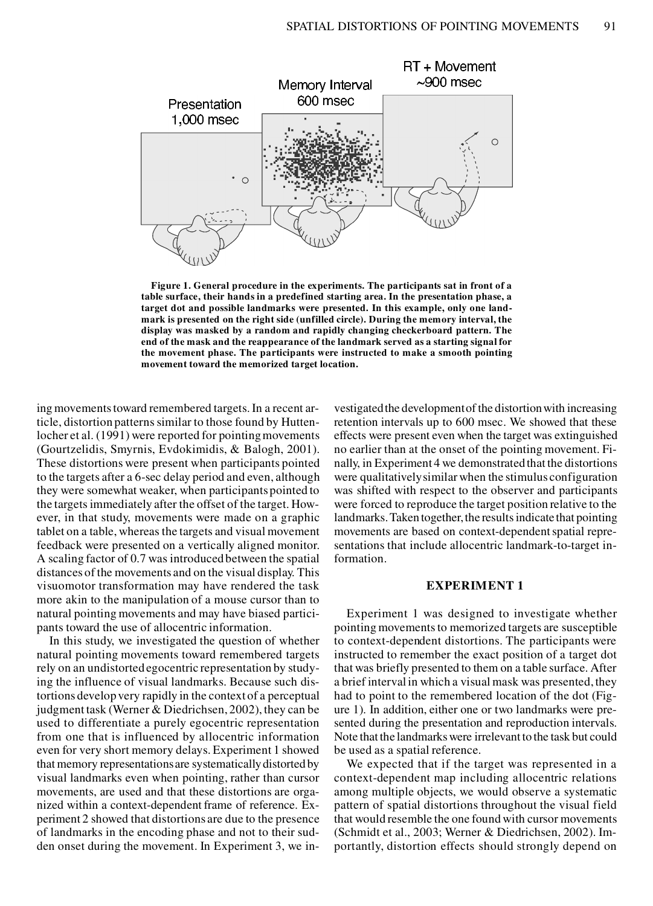

**Figure 1. General procedure in the experiments. The participants sat in front of a table surface, their hands in a predefined starting area. In the presentation phase, a target dot and possible landmarks were presented. In this example, only one land mark is presented on the right side (unfilled circle). During the memory interval, the display was masked by a random and rapidly changing checkerboard pattern. The end of the mask and the reappearance of the landmark served as a starting signal for the movement phase. The participants were instructed to make a smooth pointing movement toward the memorized target location.** 

ing movements toward remembered targets. In a recent article, distortion patterns similar to those found by Huttenlocher et al. (1991) were reported for pointing movements (Gourtzelidis, Smyrnis, Evdokimidis, & Balogh, 2001). These distortions were present when participants pointed to the targets after a 6-sec delay period and even, although they were somewhat weaker, when participants pointed to the targets immediately after the offset of the target. However, in that study, movements were made on a graphic tablet on a table, whereas the targets and visual movement feedback were presented on a vertically aligned monitor. A scaling factor of 0.7 was introduced between the spatial distances of the movements and on the visual display. This visuomotor transformation may have rendered the task more akin to the manipulation of a mouse cursor than to natural pointing movements and may have biased participants toward the use of allocentric information.

In this study, we investigated the question of whether natural pointing movements toward remembered targets rely on an undistorted egocentric representation by studying the influence of visual landmarks. Because such distortions develop very rapidly in the context of a perceptual judgment task (Werner & Diedrichsen, 2002), they can be used to differentiate a purely egocentric representation from one that is influenced by allocentric information even for very short memory delays. Experiment 1 showed that memory representations are systematically distorted by visual landmarks even when pointing, rather than cursor movements, are used and that these distortions are organized within a context-dependent frame of reference. Experiment 2 showed that distortions are due to the presence of landmarks in the encoding phase and not to their sudden onset during the movement. In Experiment 3, we in-

vestigated the development of the distortion with increasing retention intervals up to 600 msec. We showed that these effects were present even when the target was extinguished no earlier than at the onset of the pointing movement. Finally, in Experiment 4 we demonstrated that the distortions were qualitatively similar when the stimulus configuration was shifted with respect to the observer and participants were forced to reproduce the target position relative to the landmarks. Taken together, the results indicate that pointing movements are based on context-dependent spatial representations that include allocentric landmark-to-target information.

#### **EXPERIMENT 1**

Experiment 1 was designed to investigate whether pointing movements to memorized targets are susceptible to context-dependent distortions. The participants were instructed to remember the exact position of a target dot that was briefly presented to them on a table surface. After a brief interval in which a visual mask was presented, they had to point to the remembered location of the dot (Figure 1). In addition, either one or two landmarks were presented during the presentation and reproduction intervals. Note that the landmarks were irrelevant to the task but could be used as a spatial reference.

We expected that if the target was represented in a context-dependent map including allocentric relations among multiple objects, we would observe a systematic pattern of spatial distortions throughout the visual field that would resemble the one found with cursor movements (Schmidt et al., 2003; Werner & Diedrichsen, 2002). Importantly, distortion effects should strongly depend on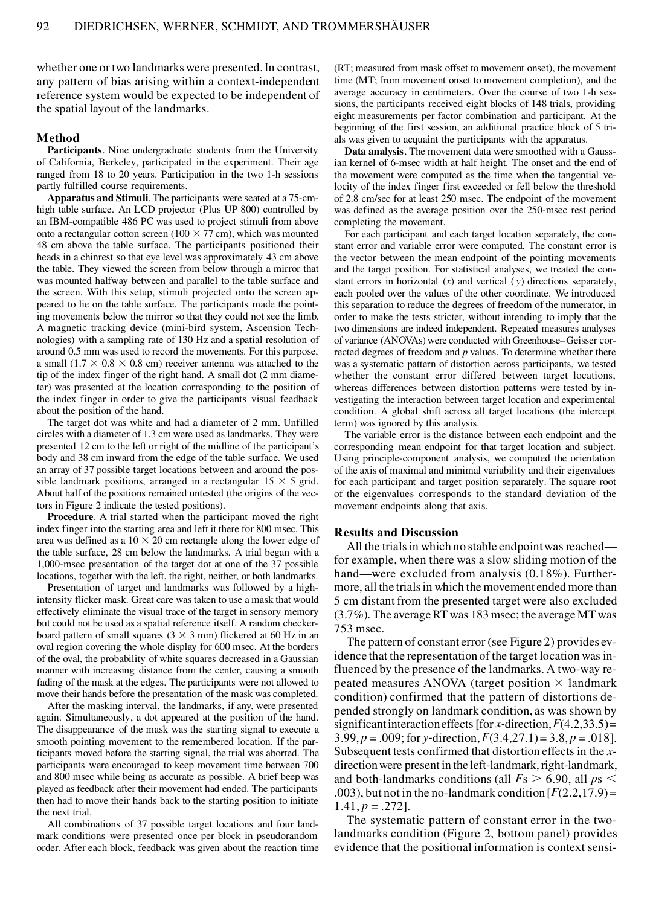whether one or two landmarks were presented. In contrast, any pattern of bias arising within a context-independent reference system would be expected to be independent of the spatial layout of the landmarks.

#### **Method**

**Participants**. Nine undergraduate students from the University of California, Berkeley, participated in the experiment. Their age ranged from 18 to 20 years. Participation in the two 1-h sessions partly fulfilled course requirements.

**Apparatus and Stimuli**. The participants were seated at a 75-cmhigh table surface. An LCD projector (Plus UP 800) controlled by an IBM-compatible 486 PC was used to project stimuli from above onto a rectangular cotton screen ( $100 \times 77$  cm), which was mounted 48 cm above the table surface. The participants positioned their heads in a chinrest so that eye level was approximately 43 cm above the table. They viewed the screen from below through a mirror that was mounted halfway between and parallel to the table surface and the screen. With this setup, stimuli projected onto the screen appeared to lie on the table surface. The participants made the pointing movements below the mirror so that they could not see the limb. A magnetic tracking device (mini-bird system, Ascension Technologies) with a sampling rate of 130 Hz and a spatial resolution of around 0.5 mm was used to record the movements. For this purpose, a small (1.7  $\times$  0.8  $\times$  0.8 cm) receiver antenna was attached to the tip of the index finger of the right hand. A small dot (2 mm diameter) was presented at the location corresponding to the position of the index finger in order to give the participants visual feedback about the position of the hand.

The target dot was white and had a diameter of 2 mm. Unfilled circles with a diameter of 1.3 cm were used as landmarks. They were presented 12 cm to the left or right of the midline of the participant's body and 38 cm inward from the edge of the table surface. We used an array of 37 possible target locations between and around the possible landmark positions, arranged in a rectangular  $15 \times 5$  grid. About half of the positions remained untested (the origins of the vectors in Figure 2 indicate the tested positions).

**Procedure**. A trial started when the participant moved the right index finger into the starting area and left it there for 800 msec. This area was defined as a  $10 \times 20$  cm rectangle along the lower edge of the table surface, 28 cm below the landmarks. A trial began with a 1,000-msec presentation of the target dot at one of the 37 possible locations, together with the left, the right, neither, or both landmarks.

Presentation of target and landmarks was followed by a highintensity flicker mask. Great care was taken to use a mask that would effectively eliminate the visual trace of the target in sensory memory but could not be used as a spatial reference itself. A random checkerboard pattern of small squares  $(3 \times 3 \text{ mm})$  flickered at 60 Hz in an oval region covering the whole display for 600 msec. At the borders of the oval, the probability of white squares decreased in a Gaussian manner with increasing distance from the center, causing a smooth fading of the mask at the edges. The participants were not allowed to move their hands before the presentation of the mask was completed.

After the masking interval, the landmarks, if any, were presented again. Simultaneously, a dot appeared at the position of the hand. The disappearance of the mask was the starting signal to execute a smooth pointing movement to the remembered location. If the participants moved before the starting signal, the trial was aborted. The participants were encouraged to keep movement time between 700 and 800 msec while being as accurate as possible. A brief beep was played as feedback after their movement had ended. The participants then had to move their hands back to the starting position to initiate the next trial.

All combinations of 37 possible target locations and four landmark conditions were presented once per block in pseudorandom order. After each block, feedback was given about the reaction time (RT; measured from mask offset to movement onset), the movement time (MT; from movement onset to movement completion), and the average accuracy in centimeters. Over the course of two 1-h ses sions, the participants received eight blocks of 148 trials, providing eight measurements per factor combination and participant. At the beginning of the first session, an additional practice block of 5 trials was given to acquaint the participants with the apparatus.

**Data analysis**. The movement data were smoothed with a Gaussian kernel of 6-msec width at half height. The onset and the end of the movement were computed as the time when the tangential velocity of the index finger first exceeded or fell below the threshold of 2.8 cm/sec for at least 250 msec. The endpoint of the movement was defined as the average position over the 250-msec rest period completing the movement.

For each participant and each target location separately, the con stant error and variable error were computed. The constant error is the vector between the mean endpoint of the pointing movements and the target position. For statistical analyses, we treated the con stant errors in horizontal (*x*) and vertical ( *y*) directions separately, each pooled over the values of the other coordinate. We introduced this separation to reduce the degrees of freedom of the numerator, in order to make the tests stricter, without intending to imply that the two dimensions are indeed independent. Repeated measures analyses of variance (ANOVAs) were conducted with Greenhouse–Geisser corrected degrees of freedom and *p* values. To determine whether there was a systematic pattern of distortion across participants, we tested whether the constant error differed between target locations, whereas differences between distortion patterns were tested by investigating the interaction between target location and experimental condition. A global shift across all target locations (the intercept term) was ignored by this analysis.

The variable error is the distance between each endpoint and the corresponding mean endpoint for that target location and subject. Using principle-component analysis, we computed the orientation of the axis of maximal and minimal variability and their eigenvalues for each participant and target position separately. The square root of the eigenvalues corresponds to the standard deviation of the movement endpoints along that axis.

# **Results and Discussion**

All the trials in which no stable endpoint was reached for example, when there was a slow sliding motion of the hand—were excluded from analysis (0.18%). Furthermore, all the trials in which the movement ended more than 5 cm distant from the presented target were also excluded (3.7%). The average RT was 183 msec; the average MT was 753 msec.

The pattern of constant error (see Figure 2) provides evidence that the representation of the target location was influenced by the presence of the landmarks. A two-way repeated measures ANOVA (target position  $\times$  landmark condition) confirmed that the pattern of distortions depended strongly on landmark condition, as was shown by significant interaction effects [for *x-*direction, *F*(4.2,33.5)= 3.99, *p* = .009; for *y-*direction, *F*(3.4,27.1)= 3.8, *p* = .018]. Subsequent tests confirmed that distortion effects in the *x* direction were present in the left-landmark, right-landmark, and both-landmarks conditions (all  $Fs > 6.90$ , all  $ps <$ .003), but not in the no-landmark condition  $[F(2.2,17.9)]$  $1.41, p = .272$ .

The systematic pattern of constant error in the twolandmarks condition (Figure 2, bottom panel) provides evidence that the positional information is context sensi-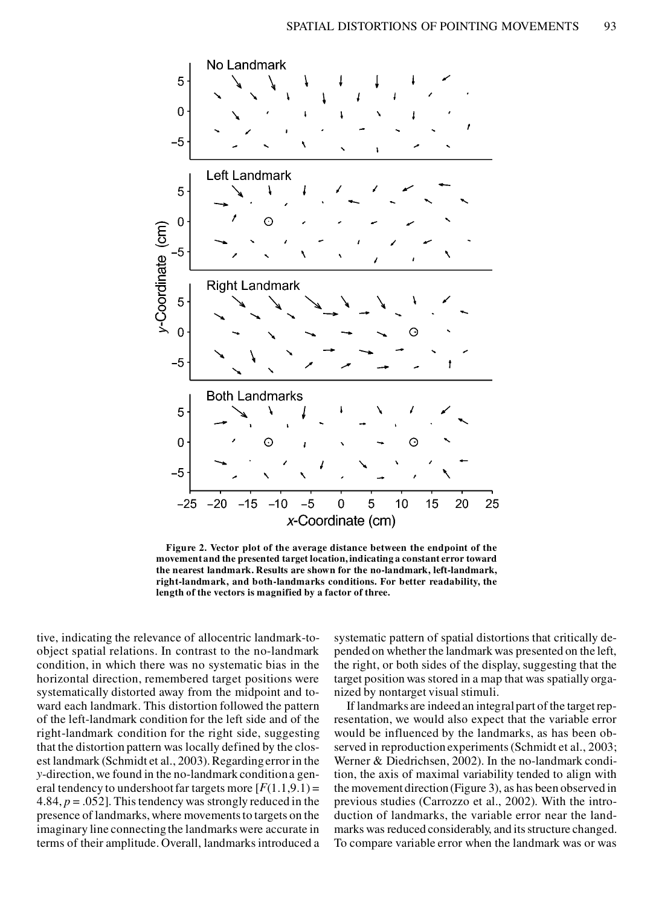

**Figure 2. Vector plot of the average distance between the endpoint of the movement and the presented target location, indicating a constant error toward the nearest landmark. Results are shown for the no-landmark, left-landmark, right-landmark, and both-landmarks conditions. For better readability, the length of the vectors is magnified by a factor of three.**

tive, indicating the relevance of allocentric landmark-toobject spatial relations. In contrast to the no-landmark condition, in which there was no systematic bias in the horizontal direction, remembered target positions were systematically distorted away from the midpoint and toward each landmark. This distortion followed the pattern of the left-landmark condition for the left side and of the right-landmark condition for the right side, suggesting that the distortion pattern was locally defined by the closest landmark (Schmidt et al., 2003). Regarding error in the *y*-direction, we found in the no-landmark condition a general tendency to undershoot far targets more  $[F(1.1, 9.1) =$ 4.84,  $p = 0.052$ . This tendency was strongly reduced in the presence of landmarks, where movements to targets on the imaginary line connecting the landmarks were accurate in terms of their amplitude. Overall, landmarks introduced a

systematic pattern of spatial distortions that critically depended on whether the landmark was presented on the left, the right, or both sides of the display, suggesting that the target position was stored in a map that was spatially organized by nontarget visual stimuli.

If landmarks are indeed an integral part of the target representation, we would also expect that the variable error would be influenced by the landmarks, as has been observed in reproduction experiments (Schmidt et al., 2003; Werner & Diedrichsen, 2002). In the no-landmark condition, the axis of maximal variability tended to align with the movement direction (Figure 3), as has been observed in previous studies (Carrozzo et al., 2002). With the introduction of landmarks, the variable error near the landmarks was reduced considerably, and its structure changed. To compare variable error when the landmark was or was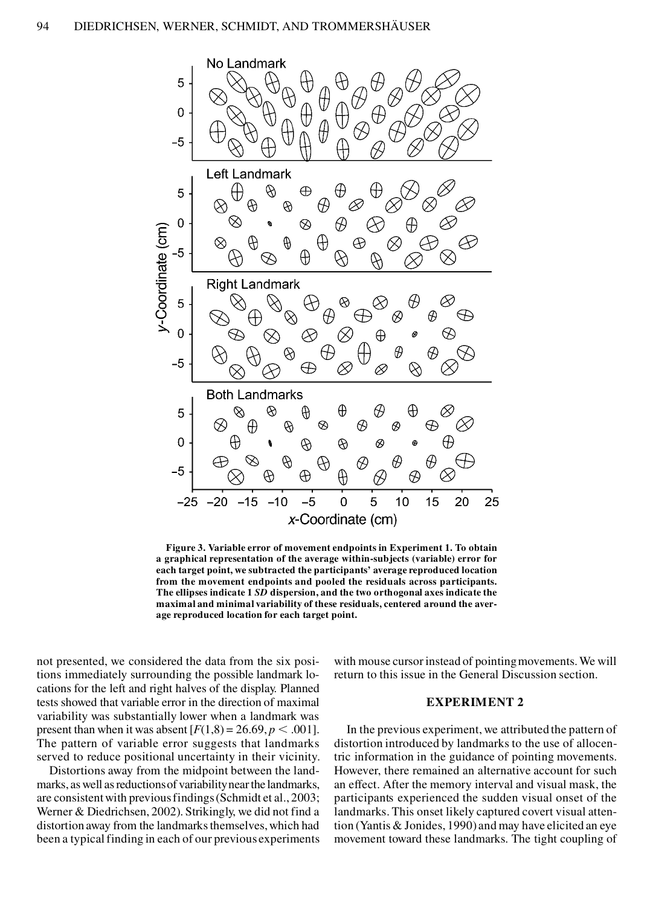

**Figure 3. Variable error of movement endpoints in Experiment 1. To obtain a graphical representation of the average within-subjects (variable) error for each target point, we subtracted the participants' average reproduced location from the movement endpoints and pooled the residuals across participants. The ellipses indicate 1** *SD* **dispersion, and the two orthogonal axes indicate the maximal and minimal variability of these residuals, centered around the aver age reproduced location for each target point.**

not presented, we considered the data from the six positions immediately surrounding the possible landmark locations for the left and right halves of the display. Planned tests showed that variable error in the direction of maximal variability was substantially lower when a landmark was present than when it was absent  $[F(1,8) = 26.69, p \le .001]$ . The pattern of variable error suggests that landmarks served to reduce positional uncertainty in their vicinity.

Distortions away from the midpoint between the landmarks, as well as reductions of variability near the landmarks, are consistent with previous findings (Schmidt et al., 2003; Werner & Diedrichsen, 2002). Strikingly, we did not find a distortion away from the landmarks themselves, which had been a typical finding in each of our previous experiments

with mouse cursor instead of pointing movements. We will return to this issue in the General Discussion section.

## **EXPERIMENT 2**

In the previous experiment, we attributed the pattern of distortion introduced by landmarks to the use of allocentric information in the guidance of pointing movements. However, there remained an alternative account for such an effect. After the memory interval and visual mask, the participants experienced the sudden visual onset of the landmarks. This onset likely captured covert visual attention (Yantis & Jonides, 1990) and may have elicited an eye movement toward these landmarks. The tight coupling of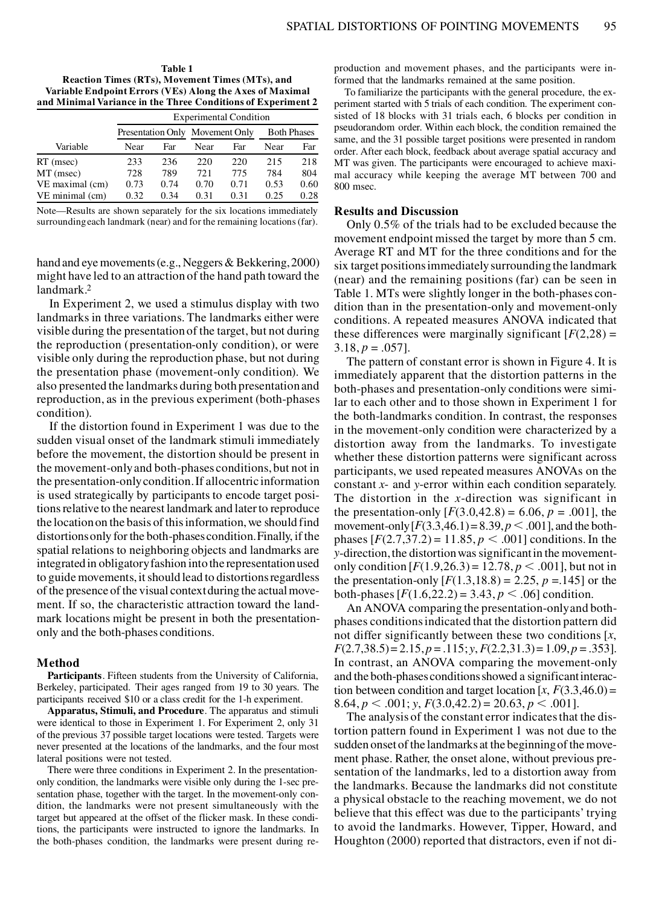**Table 1 Reaction Times (RTs), Movement Times (MTs), and Variable Endpoint Errors (VEs) Along the Axes of Maximal and Minimal Variance in the Three Conditions of Experiment 2**

|                 | <b>Experimental Condition</b>   |      |      |      |                    |      |  |  |
|-----------------|---------------------------------|------|------|------|--------------------|------|--|--|
|                 | Presentation Only Movement Only |      |      |      | <b>Both Phases</b> |      |  |  |
| Variable        | Near                            | Far  | Near | Far  | Near               | Far  |  |  |
| $RT$ (msec)     | 233                             | 236  | 220  | 220  | 215                | 218  |  |  |
| $MT$ (msec)     | 728                             | 789  | 721  | 775  | 784                | 804  |  |  |
| VE maximal (cm) | 0.73                            | 0.74 | 0.70 | 0.71 | 0.53               | 0.60 |  |  |
| VE minimal (cm) | 0.32                            | 0.34 | 0.31 | 0.31 | 0.25               | 0.28 |  |  |

Note—Results are shown separately for the six locations immediately surrounding each landmark (near) and for the remaining locations (far).

hand and eye movements (e.g., Neggers & Bekkering, 2000) might have led to an attraction of the hand path toward the landmark.2

In Experiment 2, we used a stimulus display with two landmarks in three variations. The landmarks either were visible during the presentation of the target, but not during the reproduction (presentation-only condition), or were visible only during the reproduction phase, but not during the presentation phase (movement-only condition). We also presented the landmarks during both presentation and reproduction, as in the previous experiment (both-phases condition).

If the distortion found in Experiment 1 was due to the sudden visual onset of the landmark stimuli immediately before the movement, the distortion should be present in the movement-only and both-phases conditions, but not in the presentation-only condition. If allocentric information is used strategically by participants to encode target positions relative to the nearest landmark and later to reproduce the location on the basis of this information, we should find distortions only for the both-phases condition. Finally, if the spatial relations to neighboring objects and landmarks are integrated in obligatory fashion into the representation used to guide movements, it should lead to distortions regardless of the presence of the visual context during the actual movement. If so, the characteristic attraction toward the landmark locations might be present in both the presentationonly and the both-phases conditions.

## **Method**

**Participants**. Fifteen students from the University of California, Berkeley, participated. Their ages ranged from 19 to 30 years. The participants received \$10 or a class credit for the 1-h experiment.

**Apparatus, Stimuli, and Procedure**. The apparatus and stimuli were identical to those in Experiment 1. For Experiment 2, only 31 of the previous 37 possible target locations were tested. Targets were never presented at the locations of the landmarks, and the four most lateral positions were not tested.

There were three conditions in Experiment 2. In the presentationonly condition, the landmarks were visible only during the 1-sec presentation phase, together with the target. In the movement-only con dition, the landmarks were not present simultaneously with the target but appeared at the offset of the flicker mask. In these conditions, the participants were instructed to ignore the landmarks. In the both-phases condition, the landmarks were present during reproduction and movement phases, and the participants were informed that the landmarks remained at the same position.

To familiarize the participants with the general procedure, the ex periment started with 5 trials of each condition. The experiment con sisted of 18 blocks with 31 trials each, 6 blocks per condition in pseudorandom order. Within each block, the condition remained the same, and the 31 possible target positions were presented in random order. After each block, feedback about average spatial accuracy and MT was given. The participants were encouraged to achieve maximal accuracy while keeping the average MT between 700 and 800 msec.

#### **Results and Discussion**

Only 0.5% of the trials had to be excluded because the movement endpoint missed the target by more than 5 cm. Average RT and MT for the three conditions and for the six target positions immediately surrounding the landmark (near) and the remaining positions (far) can be seen in Table 1. MTs were slightly longer in the both-phases condition than in the presentation-only and movement-only conditions. A repeated measures ANOVA indicated that these differences were marginally significant  $[F(2,28)]$  =  $3.18, p = .057$ .

The pattern of constant error is shown in Figure 4. It is immediately apparent that the distortion patterns in the both-phases and presentation-only conditions were similar to each other and to those shown in Experiment 1 for the both-landmarks condition. In contrast, the responses in the movement-only condition were characterized by a distortion away from the landmarks. To investigate whether these distortion patterns were significant across participants, we used repeated measures ANOVAs on the constant *x*- and *y*-error within each condition separately. The distortion in the *x*-direction was significant in the presentation-only  $[F(3.0, 42.8) = 6.06, p = .001]$ , the movement-only  $[F(3.3, 46.1) = 8.39, p \le .001]$ , and the bothphases  $[F(2.7,37.2) = 11.85, p \le .001]$  conditions. In the *y*-direction, the distortion was significant in the movementonly condition  $[F(1.9, 26.3) = 12.78, p < .001]$ , but not in the presentation-only  $[F(1.3,18.8) = 2.25, p = .145]$  or the both-phases  $[F(1.6, 22.2) = 3.43, p \le .06]$  condition.

An ANOVA comparing the presentation-only and bothphases conditions indicated that the distortion pattern did not differ significantly between these two conditions [*x*, *F*(2.7,38.5)= 2.15, *p* = .115; *y*, *F*(2.2,31.3)= 1.09, *p* = .353]. In contrast, an ANOVA comparing the movement-only and the both-phases conditions showed a significant interaction between condition and target location  $[x, F(3.3, 46.0) =$ 8.64,  $p < .001$ ; *y*,  $F(3.0, 42.2) = 20.63, p < .001$ .

The analysis of the constant error indicates that the distortion pattern found in Experiment 1 was not due to the sudden onset of the landmarks at the beginning of the movement phase. Rather, the onset alone, without previous presentation of the landmarks, led to a distortion away from the landmarks. Because the landmarks did not constitute a physical obstacle to the reaching movement, we do not believe that this effect was due to the participants' trying to avoid the landmarks. However, Tipper, Howard, and Houghton (2000) reported that distractors, even if not di-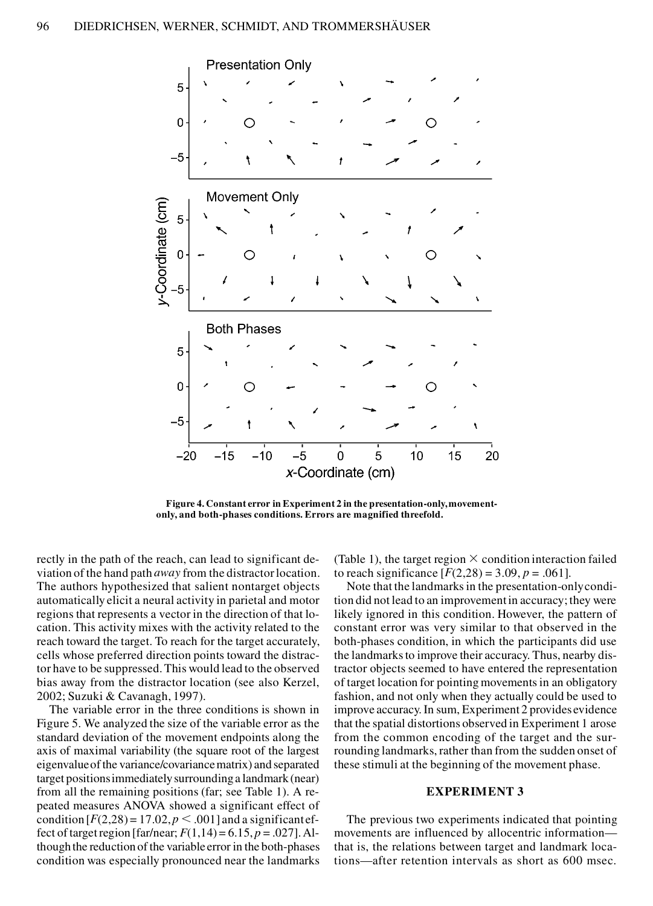

**Figure 4. Constant error in Experiment 2 in the presentation-only, movementonly, and both-phases conditions. Errors are magnified threefold.**

rectly in the path of the reach, can lead to significant deviation of the hand path *away* from the distractor location. The authors hypothesized that salient nontarget objects automatically elicit a neural activity in parietal and motor regions that represents a vector in the direction of that location. This activity mixes with the activity related to the reach toward the target. To reach for the target accurately, cells whose preferred direction points toward the distractor have to be suppressed. This would lead to the observed bias away from the distractor location (see also Kerzel, 2002; Suzuki & Cavanagh, 1997).

The variable error in the three conditions is shown in Figure 5. We analyzed the size of the variable error as the standard deviation of the movement endpoints along the axis of maximal variability (the square root of the largest eigenvalue of the variance/covariance matrix) and separated target positions immediately surrounding a landmark (near) from all the remaining positions (far; see Table 1). A repeated measures ANOVA showed a significant effect of condition  $[F(2,28) = 17.02, p \le .001]$  and a significant effect of target region [far/near;  $F(1,14) = 6.15$ ,  $p = .027$ ]. Although the reduction of the variable error in the both-phases condition was especially pronounced near the landmarks

(Table 1), the target region  $\times$  condition interaction failed to reach significance  $[F(2,28) = 3.09, p = .061]$ .

Note that the landmarks in the presentation-only condition did not lead to an improvement in accuracy; they were likely ignored in this condition. However, the pattern of constant error was very similar to that observed in the both-phases condition, in which the participants did use the landmarks to improve their accuracy. Thus, nearby distractor objects seemed to have entered the representation of target location for pointing movements in an obligatory fashion, and not only when they actually could be used to improve accuracy. In sum, Experiment 2 provides evidence that the spatial distortions observed in Experiment 1 arose from the common encoding of the target and the surrounding landmarks, rather than from the sudden onset of these stimuli at the beginning of the movement phase.

## **EXPERIMENT 3**

The previous two experiments indicated that pointing movements are influenced by allocentric information that is, the relations between target and landmark locations—after retention intervals as short as 600 msec.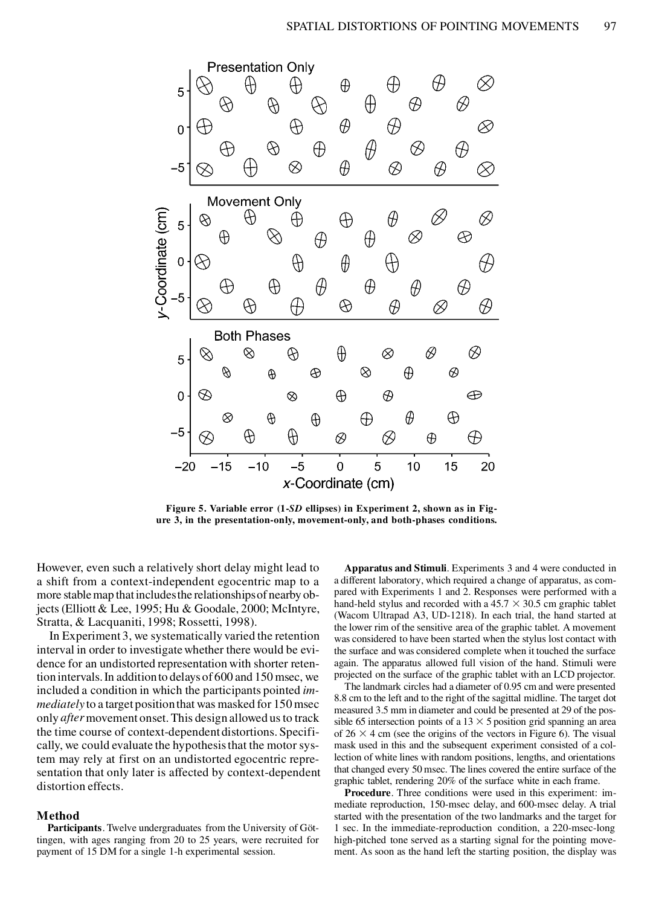

**Figure 5. Variable error (1-***SD* **ellipses) in Experiment 2, shown as in Fig ure 3, in the presentation-only, movement-only, and both-phases conditions.** 

However, even such a relatively short delay might lead to a shift from a context-independent egocentric map to a more stable map that includes the relationships of nearby objects (Elliott & Lee, 1995; Hu & Goodale, 2000; McIntyre, Stratta, & Lacquaniti, 1998; Rossetti, 1998).

In Experiment 3, we systematically varied the retention interval in order to investigate whether there would be evidence for an undistorted representation with shorter retention intervals. In addition to delays of 600 and 150 msec, we included a condition in which the participants pointed *immediately* to a target position that was masked for 150 msec only *after*movement onset. This design allowed us to track the time course of context-dependent distortions. Specifically, we could evaluate the hypothesis that the motor system may rely at first on an undistorted egocentric representation that only later is affected by context-dependent distortion effects.

# **Method**

**Participants**. Twelve undergraduates from the University of Göttingen, with ages ranging from 20 to 25 years, were recruited for payment of 15 DM for a single 1-h experimental session.

**Apparatus and Stimuli**. Experiments 3 and 4 were conducted in a different laboratory, which required a change of apparatus, as com pared with Experiments 1 and 2. Responses were performed with a hand-held stylus and recorded with a  $45.7 \times 30.5$  cm graphic tablet (Wacom Ultrapad A3, UD-1218). In each trial, the hand started at the lower rim of the sensitive area of the graphic tablet. A movement was considered to have been started when the stylus lost contact with the surface and was considered complete when it touched the surface again. The apparatus allowed full vision of the hand. Stimuli were projected on the surface of the graphic tablet with an LCD projector.

The landmark circles had a diameter of 0.95 cm and were presented 8.8 cm to the left and to the right of the sagittal midline. The target dot measured 3.5 mm in diameter and could be presented at 29 of the possible 65 intersection points of a  $13 \times 5$  position grid spanning an area of  $26 \times 4$  cm (see the origins of the vectors in Figure 6). The visual mask used in this and the subsequent experiment consisted of a collection of white lines with random positions, lengths, and orientations that changed every 50 msec. The lines covered the entire surface of the graphic tablet, rendering 20% of the surface white in each frame.

**Procedure**. Three conditions were used in this experiment: immediate reproduction, 150-msec delay, and 600-msec delay. A trial started with the presentation of the two landmarks and the target for 1 sec. In the immediate-reproduction condition, a 220-msec-long high-pitched tone served as a starting signal for the pointing move ment. As soon as the hand left the starting position, the display was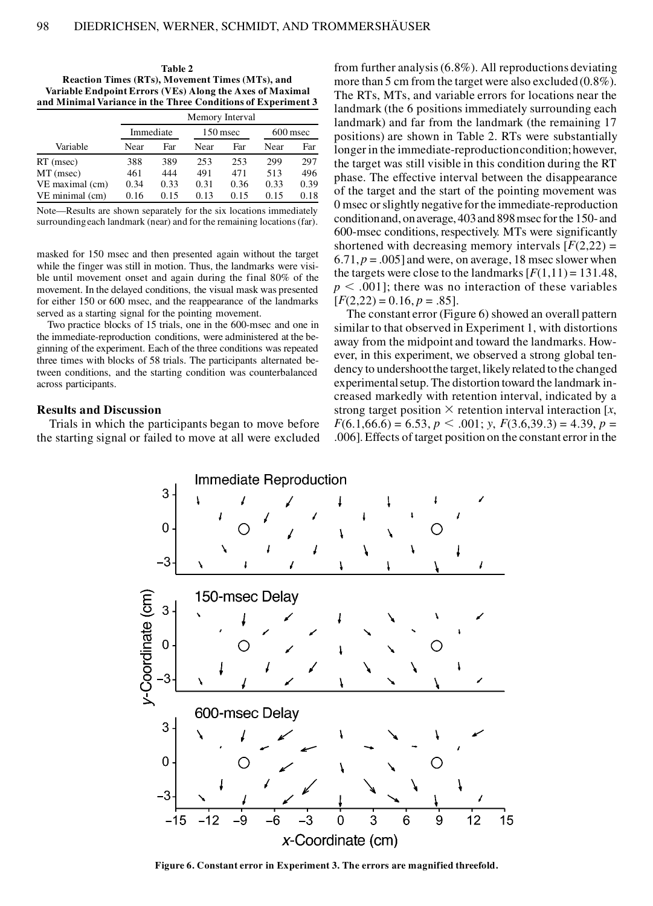| Table 2                                                      |
|--------------------------------------------------------------|
| Reaction Times (RTs), Movement Times (MTs), and              |
| Variable Endpoint Errors (VEs) Along the Axes of Maximal     |
| and Minimal Variance in the Three Conditions of Experiment 3 |

| Variable        | Memory Interval |      |          |      |            |      |  |  |
|-----------------|-----------------|------|----------|------|------------|------|--|--|
|                 | Immediate       |      | 150 msec |      | $600$ msec |      |  |  |
|                 | Near            | Far  | Near     | Far  | Near       | Far  |  |  |
| $RT$ (msec)     | 388             | 389  | 253      | 253  | 299        | 297  |  |  |
| $MT$ (msec)     | 461             | 444  | 491      | 471  | 513        | 496  |  |  |
| VE maximal (cm) | 0.34            | 0.33 | 0.31     | 0.36 | 0.33       | 0.39 |  |  |
| VE minimal (cm) | 0.16            | 0.15 | 0.13     | 0.15 | 0.15       | 0.18 |  |  |

Note—Results are shown separately for the six locations immediately surrounding each landmark (near) and for the remaining locations (far).

masked for 150 msec and then presented again without the target while the finger was still in motion. Thus, the landmarks were visible until movement onset and again during the final 80% of the movement. In the delayed conditions, the visual mask was presented for either 150 or 600 msec, and the reappearance of the landmarks served as a starting signal for the pointing movement.

Two practice blocks of 15 trials, one in the 600-msec and one in the immediate-reproduction conditions, were administered at the beginning of the experiment. Each of the three conditions was repeated three times with blocks of 58 trials. The participants alternated between conditions, and the starting condition was counterbalanced across participants.

#### **Results and Discussion**

Trials in which the participants began to move before the starting signal or failed to move at all were excluded

from further analysis (6.8%). All reproductions deviating more than 5 cm from the target were also excluded (0.8%). The RTs, MTs, and variable errors for locations near the landmark (the 6 positions immediately surrounding each landmark) and far from the landmark (the remaining 17 positions) are shown in Table 2. RTs were substantially longer in the immediate-reproductioncondition; however, the target was still visible in this condition during the RT phase. The effective interval between the disappearance of the target and the start of the pointing movement was 0 msec or slightly negative for the immediate-reproduction condition and, on average, 403 and 898msec for the 150- and 600-msec conditions, respectively. MTs were significantly shortened with decreasing memory intervals  $[F(2,22) =$  $6.71, p = .005$ ] and were, on average, 18 msec slower when the targets were close to the landmarks  $[F(1,11) = 131.48]$ ,  $p \leq .001$ ; there was no interaction of these variables  $[F(2,22) = 0.16, p = .85].$ 

The constant error (Figure 6) showed an overall pattern similar to that observed in Experiment 1, with distortions away from the midpoint and toward the landmarks. However, in this experiment, we observed a strong global tendency to undershoot the target, likely related to the changed experimental setup. The distortion toward the landmark increased markedly with retention interval, indicated by a strong target position  $\times$  retention interval interaction [x,  $F(6.1,66.6) = 6.53, p \le .001$ ; *y*,  $F(3.6,39.3) = 4.39, p =$ .006]. Effects of target position on the constant error in the



**Figure 6. Constant error in Experiment 3. The errors are magnified threefold.**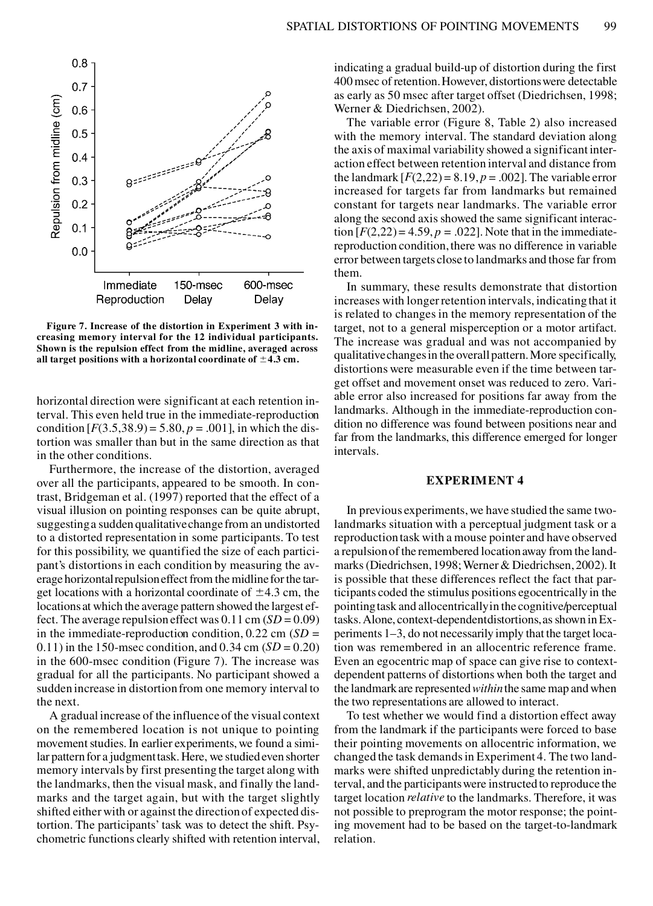

**Figure 7. Increase of the distortion in Experiment 3 with increasing memory interval for the 12 individual participants. Shown is the repulsion effect from the midline, averaged across** all target positions with a horizontal coordinate of  $\pm 4.3$  cm.

horizontal direction were significant at each retention interval. This even held true in the immediate-reproduction condition  $[F(3.5,38.9) = 5.80, p = .001]$ , in which the distortion was smaller than but in the same direction as that in the other conditions.

Furthermore, the increase of the distortion, averaged over all the participants, appeared to be smooth. In contrast, Bridgeman et al. (1997) reported that the effect of a visual illusion on pointing responses can be quite abrupt, suggesting a sudden qualitative change from an undistorted to a distorted representation in some participants. To test for this possibility, we quantified the size of each participant's distortions in each condition by measuring the average horizontal repulsion effect from the midline for the target locations with a horizontal coordinate of  $\pm$ 4.3 cm, the locations at which the average pattern showed the largest effect. The average repulsion effect was  $0.11 \text{ cm}$  (*SD* = 0.09) in the immediate-reproduction condition,  $0.22$  cm  $(SD =$  $(0.11)$  in the 150-msec condition, and  $(0.34 \text{ cm } (SD = 0.20))$ in the 600-msec condition (Figure 7). The increase was gradual for all the participants. No participant showed a sudden increase in distortion from one memory interval to the next.

A gradual increase of the influence of the visual context on the remembered location is not unique to pointing movement studies. In earlier experiments, we found a similar pattern for a judgment task. Here, we studied even shorter memory intervals by first presenting the target along with the landmarks, then the visual mask, and finally the landmarks and the target again, but with the target slightly shifted either with or against the direction of expected distortion. The participants' task was to detect the shift. Psychometric functions clearly shifted with retention interval,

indicating a gradual build-up of distortion during the first 400msec of retention. However, distortions were detectable as early as 50 msec after target offset (Diedrichsen, 1998; Werner & Diedrichsen, 2002).

The variable error (Figure 8, Table 2) also increased with the memory interval. The standard deviation along the axis of maximal variability showed a significant interaction effect between retention interval and distance from the landmark  $[F(2,22) = 8.19, p = .002]$ . The variable error increased for targets far from landmarks but remained constant for targets near landmarks. The variable error along the second axis showed the same significant interaction  $[F(2,22) = 4.59, p = .022]$ . Note that in the immediatereproduction condition, there was no difference in variable error between targets close to landmarks and those far from them.

In summary, these results demonstrate that distortion increases with longer retention intervals, indicating that it is related to changes in the memory representation of the target, not to a general misperception or a motor artifact. The increase was gradual and was not accompanied by qualitative changes in the overall pattern. More specifically, distortions were measurable even if the time between target offset and movement onset was reduced to zero. Variable error also increased for positions far away from the landmarks. Although in the immediate-reproduction condition no difference was found between positions near and far from the landmarks, this difference emerged for longer intervals.

## **EXPERIMENT 4**

In previous experiments, we have studied the same twolandmarks situation with a perceptual judgment task or a reproduction task with a mouse pointer and have observed a repulsion of the remembered location away from the landmarks (Diedrichsen, 1998; Werner & Diedrichsen, 2002). It is possible that these differences reflect the fact that participants coded the stimulus positions egocentrically in the pointing task and allocentrically in the cognitive/perceptual tasks. Alone, context-dependent distortions, as shown in Experiments 1–3, do not necessarily imply that the target location was remembered in an allocentric reference frame. Even an egocentric map of space can give rise to contextdependent patterns of distortions when both the target and the landmark are represented *within*the same map and when the two representations are allowed to interact.

To test whether we would find a distortion effect away from the landmark if the participants were forced to base their pointing movements on allocentric information, we changed the task demands in Experiment 4. The two landmarks were shifted unpredictably during the retention interval, and the participants were instructed to reproduce the target location *relative* to the landmarks. Therefore, it was not possible to preprogram the motor response; the pointing movement had to be based on the target-to-landmark relation.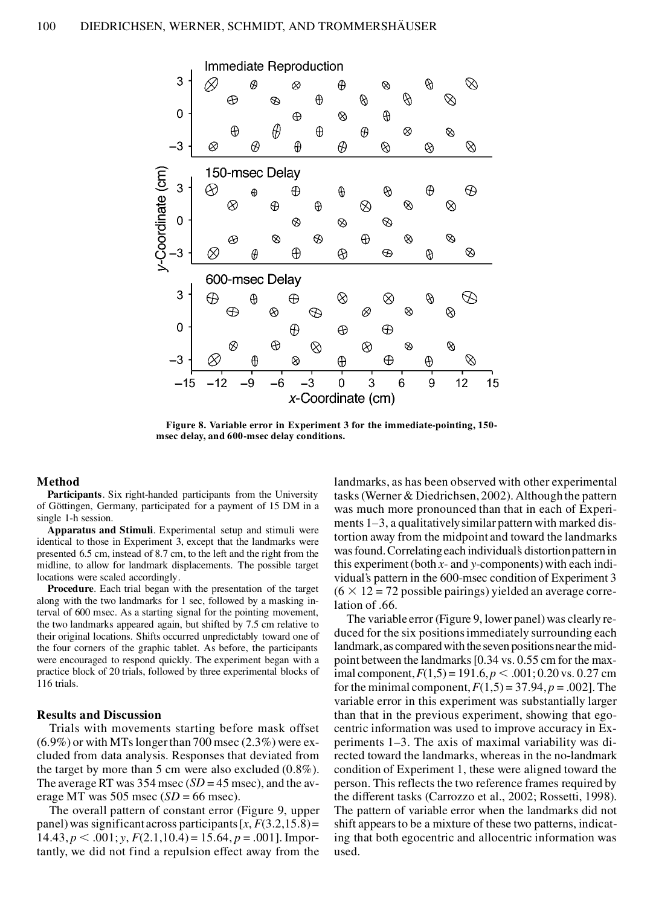

**Figure 8. Variable error in Experiment 3 for the immediate-pointing, 150 msec delay, and 600-msec delay conditions.**

## **Method**

**Participants**. Six right-handed participants from the University of Göttingen, Germany, participated for a payment of 15 DM in a single 1-h session.

**Apparatus and Stimuli**. Experimental setup and stimuli were identical to those in Experiment 3, except that the landmarks were presented 6.5 cm, instead of 8.7 cm, to the left and the right from the midline, to allow for landmark displacements. The possible target locations were scaled accordingly.

**Procedure**. Each trial began with the presentation of the target along with the two landmarks for 1 sec, followed by a masking interval of 600 msec. As a starting signal for the pointing movement, the two landmarks appeared again, but shifted by 7.5 cm relative to their original locations. Shifts occurred unpredictably toward one of the four corners of the graphic tablet. As before, the participants were encouraged to respond quickly. The experiment began with a practice block of 20 trials, followed by three experimental blocks of 116 trials.

## **Results and Discussion**

Trials with movements starting before mask offset  $(6.9\%)$  or with MTs longer than 700 msec  $(2.3\%)$  were excluded from data analysis. Responses that deviated from the target by more than 5 cm were also excluded (0.8%). The average RT was  $354$  msec ( $SD = 45$  msec), and the average MT was 505 msec  $(SD = 66$  msec).

The overall pattern of constant error (Figure 9, upper panel) was significant across participants  $[x, F(3.2, 15.8)]$  $14.43, p \le .001$ ; *y*,  $F(2.1, 10.4) = 15.64, p = .001$ . Importantly, we did not find a repulsion effect away from the

landmarks, as has been observed with other experimental tasks (Werner & Diedrichsen, 2002). Although the pattern was much more pronounced than that in each of Experiments 1–3, a qualitatively similar pattern with marked distortion away from the midpoint and toward the landmarks was found. Correlating each individual's distortion pattern in this experiment (both *x*- and *y*-components) with each individual's pattern in the 600-msec condition of Experiment 3  $(6 \times 12 = 72$  possible pairings) yielded an average correlation of .66.

The variable error (Figure 9, lower panel) was clearly reduced for the six positions immediately surrounding each landmark, as compared with the seven positions near the midpoint between the landmarks [0.34 vs. 0.55 cm for the maximal component,  $F(1,5) = 191.6, p < .001; 0.20$  vs. 0.27 cm for the minimal component,  $F(1,5) = 37.94$ ,  $p = .002$ . The variable error in this experiment was substantially larger than that in the previous experiment, showing that egocentric information was used to improve accuracy in Experiments 1–3. The axis of maximal variability was directed toward the landmarks, whereas in the no-landmark condition of Experiment 1, these were aligned toward the person. This reflects the two reference frames required by the different tasks (Carrozzo et al., 2002; Rossetti, 1998). The pattern of variable error when the landmarks did not shift appears to be a mixture of these two patterns, indicating that both egocentric and allocentric information was used.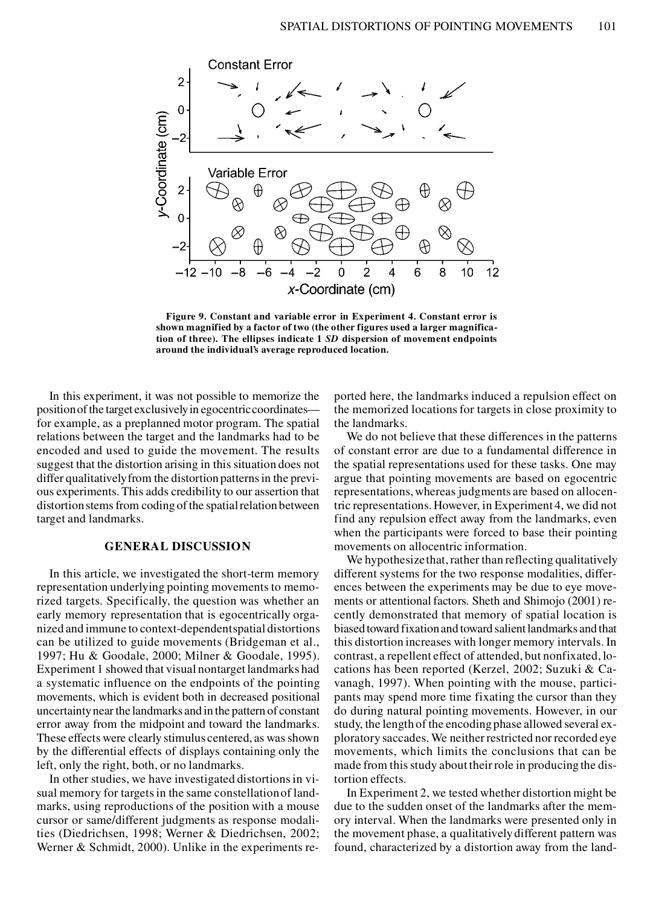

**Figure 9. Constant and variable error in Experiment 4. Constant error is shown magnified by a factor of two (the other figures used a larger magnification of three). The ellipses indicate 1** *SD* **dispersion of movement endpoints around the individual's average reproduced location.**

In this experiment, it was not possible to memorize the position of the target exclusively in egocentric coordinates for example, as a preplanned motor program. The spatial relations between the target and the landmarks had to be encoded and used to guide the movement. The results suggest that the distortion arising in this situation does not differ qualitatively from the distortion patterns in the previous experiments. This adds credibility to our assertion that distortion stems from coding of the spatial relation between target and landmarks.

# **GENERAL DISCUSSION**

In this article, we investigated the short-term memory representation underlying pointing movements to memorized targets. Specifically, the question was whether an early memory representation that is egocentrically organized and immune to context-dependent spatial distortions can be utilized to guide movements (Bridgeman et al., 1997; Hu & Goodale, 2000; Milner & Goodale, 1995). Experiment 1 showed that visual nontarget landmarks had a systematic influence on the endpoints of the pointing movements, which is evident both in decreased positional uncertainty near the landmarks and in the pattern of constant error away from the midpoint and toward the landmarks. These effects were clearly stimulus centered, as was shown by the differential effects of displays containing only the left, only the right, both, or no landmarks.

In other studies, we have investigated distortions in visual memory for targets in the same constellation of landmarks, using reproductions of the position with a mouse cursor or same/different judgments as response modalities (Diedrichsen, 1998; Werner & Diedrichsen, 2002; Werner & Schmidt, 2000). Unlike in the experiments re-

ported here, the landmarks induced a repulsion effect on the memorized locations for targets in close proximity to the landmarks.

We do not believe that these differences in the patterns of constant error are due to a fundamental difference in the spatial representations used for these tasks. One may argue that pointing movements are based on egocentric representations, whereas judgments are based on allocentric representations. However, in Experiment 4, we did not find any repulsion effect away from the landmarks, even when the participants were forced to base their pointing movements on allocentric information.

We hypothesize that, rather than reflecting qualitatively different systems for the two response modalities, differences between the experiments may be due to eye movements or attentional factors. Sheth and Shimojo (2001) recently demonstrated that memory of spatial location is biased toward fixation and toward salient landmarks and that this distortion increases with longer memory intervals. In contrast, a repellent effect of attended, but nonfixated, locations has been reported (Kerzel, 2002; Suzuki & Cavanagh, 1997). When pointing with the mouse, participants may spend more time fixating the cursor than they do during natural pointing movements. However, in our study, the length of the encoding phase allowed several exploratory saccades. We neither restricted nor recorded eye movements, which limits the conclusions that can be made from this study about their role in producing the distortion effects.

In Experiment 2, we tested whether distortion might be due to the sudden onset of the landmarks after the memory interval. When the landmarks were presented only in the movement phase, a qualitatively different pattern was found, characterized by a distortion away from the land-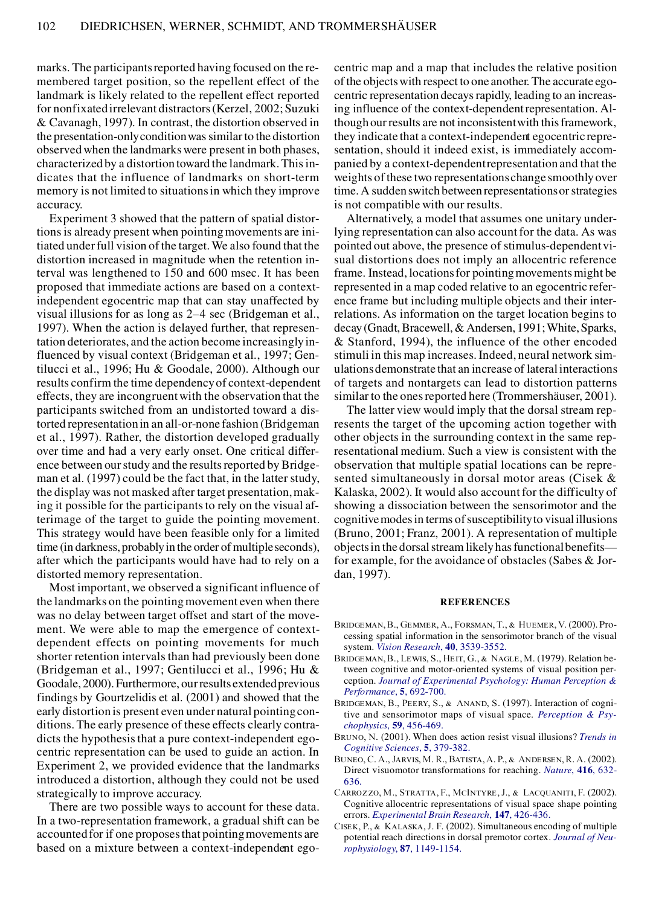marks. The participants reported having focused on the remembered target position, so the repellent effect of the landmark is likely related to the repellent effect reported for nonfixated irrelevant distractors (Kerzel, 2002; Suzuki & Cavanagh, 1997). In contrast, the distortion observed in the presentation-only condition was similar to the distortion observed when the landmarks were present in both phases, characterized by a distortion toward the landmark. This indicates that the influence of landmarks on short-term memory is not limited to situations in which they improve accuracy. Experiment 3 showed that the pattern of spatial distor-

tions is already present when pointing movements are initiated under full vision of the target. We also found that the distortion increased in magnitude when the retention interval was lengthened to 150 and 600 msec. It has been proposed that immediate actions are based on a contextindependent egocentric map that can stay unaffected by visual illusions for as long as 2–4 sec (Bridgeman et al., 1997). When the action is delayed further, that representation deteriorates, and the action become increasingly influenced by visual context (Bridgeman et al., 1997; Gentilucci et al., 1996; Hu & Goodale, 2000). Although our results confirm the time dependency of context-dependent effects, they are incongruent with the observation that the participants switched from an undistorted toward a distorted representation in an all-or-none fashion (Bridgeman et al., 1997). Rather, the distortion developed gradually over time and had a very early onset. One critical difference between our study and the results reported by Bridgeman et al. (1997) could be the fact that, in the latter study, the display was not masked after target presentation, making it possible for the participants to rely on the visual afterimage of the target to guide the pointing movement. This strategy would have been feasible only for a limited time (in darkness, probably in the order of multiple seconds), after which the participants would have had to rely on a distorted memory representation.

Most important, we observed a significant influence of the landmarks on the pointing movement even when there was no delay between target offset and start of the movement. We were able to map the emergence of contextdependent effects on pointing movements for much shorter retention intervals than had previously been done (Bridgeman et al., 1997; Gentilucci et al., 1996; Hu & Goodale, 2000). Furthermore, our results extended previous findings by Gourtzelidis et al. (2001) and showed that the early distortion is present even under natural pointing conditions. The early presence of these effects clearly contradicts the hypothesis that a pure context-independent egocentric representation can be used to guide an action. In Experiment 2, we provided evidence that the landmarks introduced a distortion, although they could not be used strategically to improve accuracy. There are two possible ways to account for these data.

In a two-representation framework, a gradual shift can be accounted for if one proposes that pointing movements are based on a mixture between a context-independent egocentric map and a map that includes the relative position of the objects with respect to one another. The accurate egocentric representation decays rapidly, leading to an increasing influence of the context-dependent representation. Although our results are not inconsistent with this framework, they indicate that a context-independent egocentric representation, should it indeed exist, is immediately accompanied by a context-dependentrepresentation and that the weights of these two representations change smoothly over time. A sudden switch between representations or strategies is not compatible with our results.

Alternatively, a model that assumes one unitary underlying representation can also account for the data. As was pointed out above, the presence of stimulus-dependent visual distortions does not imply an allocentric reference frame. Instead, locations for pointing movements might be represented in a map coded relative to an egocentric reference frame but including multiple objects and their interrelations. As information on the target location begins to decay (Gnadt, Bracewell, & Andersen, 1991; White, Sparks, & Stanford, 1994), the influence of the other encoded stimuli in this map increases. Indeed, neural network simulations demonstrate that an increase of lateral interactions of targets and nontargets can lead to distortion patterns similar to the ones reported here (Trommershäuser, 2001).

The latter view would imply that the dorsal stream represents the target of the upcoming action together with other objects in the surrounding context in the same representational medium. Such a view is consistent with the observation that multiple spatial locations can be represented simultaneously in dorsal motor areas (Cisek & Kalaska, 2002). It would also account for the difficulty of showing a dissociation between the sensorimotor and the cognitive modes in terms of susceptibility to visual illusions (Bruno, 2001; Franz, 2001). A representation of multiple objects in the dorsal stream likely has functional benefits for example, for the avoidance of obstacles (Sabes & Jordan, 1997).

#### **REFERENCES**

- Bridgeman, B., Gemmer, A., Forsman, T., & Huemer, V. (2000). Processing spatial information in the sensorimotor branch of the visual system. *[Vision Research](http://www.ingentaselect.com/rpsv/cgi-bin/linker?ext=a&reqidx=/0042-6989^28^2940L.3539[aid=1520136])*, **40**, 3539-3552.
- BRIDGEMAN, B., LEWIS, S., HEIT, G., & NAGLE, M. (1979). Relation between cognitive and motor-oriented systems of visual position perception. *[Journal of Experimental Psychology: Human Perception &](http://www.ingentaselect.com/rpsv/cgi-bin/linker?ext=a&reqidx=/0096-1523^28^295L.692[aid=296202]) [Performance](http://www.ingentaselect.com/rpsv/cgi-bin/linker?ext=a&reqidx=/0096-1523^28^295L.692[aid=296202])*, **5**, 692-700.
- BRIDGEMAN, B., PEERY, S., & ANAND, S. (1997). Interaction of cognitive and sensorimotor maps of visual space. *[Perception & Psy](http://www.ingentaselect.com/rpsv/cgi-bin/linker?ext=a&reqidx=/0031-5117^28^2959L.456[aid=213479])[chophysics](http://www.ingentaselect.com/rpsv/cgi-bin/linker?ext=a&reqidx=/0031-5117^28^2959L.456[aid=213479])*, **59**, 456-469.
- Bruno, N. (2001). When does action resist visual illusions? *[Trends in](http://www.ingentaselect.com/rpsv/cgi-bin/linker?ext=a&reqidx=/1364-6613^28^295L.379[aid=4710494]) [Cognitive Sciences](http://www.ingentaselect.com/rpsv/cgi-bin/linker?ext=a&reqidx=/1364-6613^28^295L.379[aid=4710494])*, **5**, 379-382.
- Buneo, C. A., Jarvis, M. R., Batista, A. P., & Andersen, R. A. (2002). Direct visuomotor transformations for reaching. *[Nature](http://www.ingentaselect.com/rpsv/cgi-bin/linker?ext=a&reqidx=/0028-0836^28^29416L.632[aid=5175190])*, **416**, 632- [636.](http://www.ingentaselect.com/rpsv/cgi-bin/linker?ext=a&reqidx=/0028-0836^28^29416L.632[aid=5175190])
- Carrozzo, M., Stratta, F., McIntyre, J., & Lacquaniti, F. (2002). Cognitive allocentric representations of visual space shape pointing errors. *[Experimental Brain Research](http://www.ingentaselect.com/rpsv/cgi-bin/linker?ext=a&reqidx=/0014-4819^28^29147L.426[aid=5595926])*, **147**, 426-436.
- Cisek, P., & Kalaska, J. F. (2002). Simultaneous encoding of multiple potential reach directions in dorsal premotor cortex. *[Journal of Neu](http://www.ingentaselect.com/rpsv/cgi-bin/linker?ext=a&reqidx=/0022-3077^28^2987L.1149[aid=5595927])[rophysiology](http://www.ingentaselect.com/rpsv/cgi-bin/linker?ext=a&reqidx=/0022-3077^28^2987L.1149[aid=5595927])*, **87**, 1149-1154.